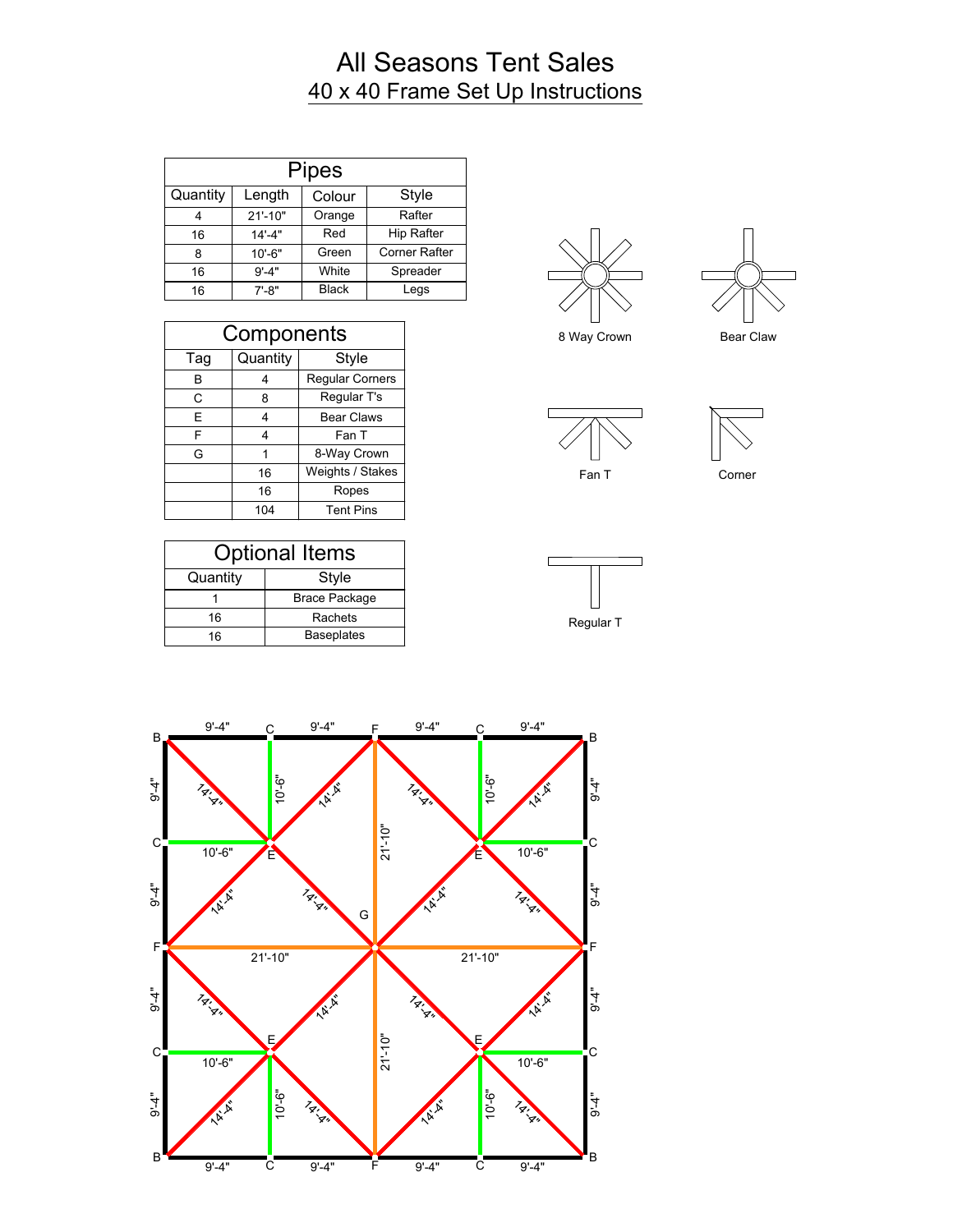## All Seasons Tent Sales 40 x 40 Frame Set Up Instructions

|          |             | <b>Pipes</b> |                      |
|----------|-------------|--------------|----------------------|
| Quantity | Length      | Colour       | Style                |
| 4        | $21' - 10"$ | Orange       | Rafter               |
| 16       | $14' - 4"$  | Red          | <b>Hip Rafter</b>    |
| 8        | $10' - 6"$  | Green        | <b>Corner Rafter</b> |
| 16       | $9' - 4"$   | White        | Spreader             |
| 16       | $7' - 8"$   | <b>Black</b> | Legs                 |

| Components |          |                        |  |
|------------|----------|------------------------|--|
| Tag        | Quantity | Style                  |  |
| в          | 4        | <b>Regular Corners</b> |  |
| С          | 8        | Regular T's            |  |
| E          | 4        | <b>Bear Claws</b>      |  |
| F          | 4        | Fan T                  |  |
| G          |          | 8-Way Crown            |  |
|            | 16       | Weights / Stakes       |  |
|            | 16       | Ropes                  |  |
|            | 104      | <b>Tent Pins</b>       |  |

| <b>Optional Items</b> |                      |  |  |
|-----------------------|----------------------|--|--|
| Quantity              | Style                |  |  |
|                       | <b>Brace Package</b> |  |  |
| 16                    | Rachets              |  |  |
| 16                    | <b>Baseplates</b>    |  |  |